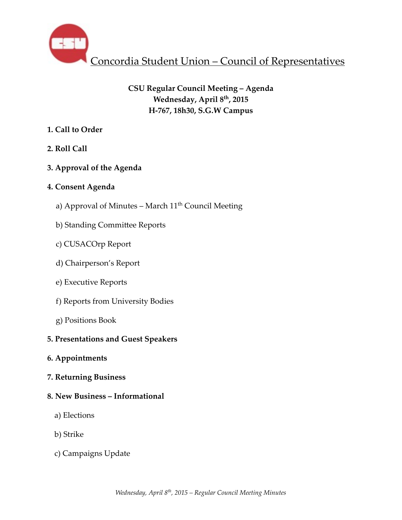

# **CSU Regular Council Meeting – Agenda Wednesday, April 8th, 2015 H-767, 18h30, S.G.W Campus**

- **1. Call to Order**
- **2. Roll Call**
- **3. Approval of the Agenda**

# **4. Consent Agenda**

- a) Approval of Minutes March  $11<sup>th</sup>$  Council Meeting
- b) Standing Committee Reports
- c) CUSACOrp Report
- d) Chairperson's Report
- e) Executive Reports
- f) Reports from University Bodies
- g) Positions Book

# **5. Presentations and Guest Speakers**

- **6. Appointments**
- **7. Returning Business**

## **8. New Business – Informational**

- a) Elections
- b) Strike
- c) Campaigns Update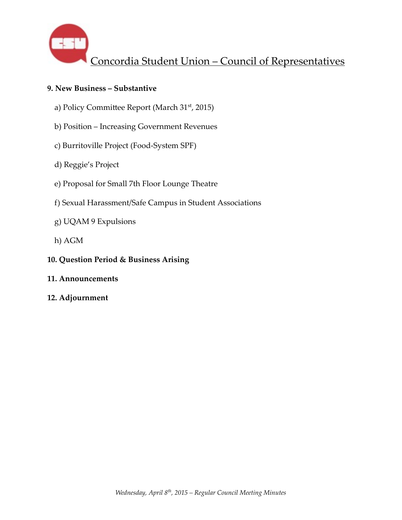

## **9. New Business – Substantive**

- a) Policy Committee Report (March 31<sup>st</sup>, 2015)
- b) Position Increasing Government Revenues
- c) Burritoville Project (Food-System SPF)
- d) Reggie's Project
- e) Proposal for Small 7th Floor Lounge Theatre
- f) Sexual Harassment/Safe Campus in Student Associations
- g) UQAM 9 Expulsions
- h) AGM
- **10. Question Period & Business Arising**
- **11. Announcements**
- **12. Adjournment**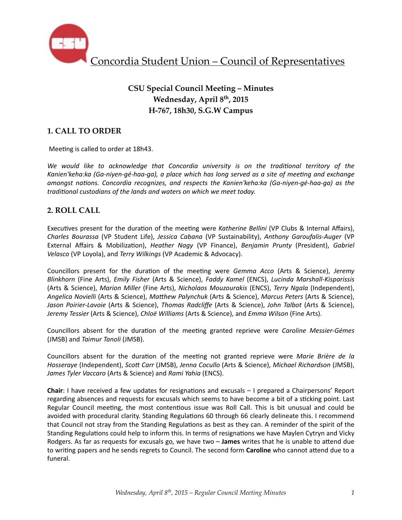

# **CSU Special Council Meeting – Minutes Wednesday, April 8th, 2015 H-767, 18h30, S.G.W Campus**

## **1. CALL TO ORDER**

Meeting is called to order at 18h43.

We would like to acknowledge that Concordia university is on the traditional territory of the Kanien'keha:ka (Ga-niyen-gé-haa-ga), a place which has long served as a site of meeting and exchange *amongst nations. Concordia recognizes, and respects the Kanien'keha:ka (Ga-niyen-gé-haa-ga)* as the *traditional custodians of the lands and waters on which we meet today.* 

## **2. ROLL CALL**

Executives present for the duration of the meeting were *Katherine Bellini* (VP Clubs & Internal Affairs), *Charles Bourassa* (VP Student Life), *Jessica Cabana* (VP Sustainability), *Anthony Garoufalis-Auger* (VP External Affairs & Mobilization), *Heather Nagy* (VP Finance), *Benjamin Prunty* (President), *Gabriel Velasco* (VP Loyola), and *Terry Wilkings* (VP Academic & Advocacy).

Councillors present for the duration of the meeting were *Gemma Acco* (Arts & Science), Jeremy *Blinkhorn*  (Fine Arts), *Emily Fisher*  (Arts & Science), *Faddy Kamel*  (ENCS), *Lucinda Marshall-Kisparissis*  (Arts & Science), *Marion Miller* (Fine Arts), *Nicholaos Mouzourakis* (ENCS), *Terry Ngala* (Independent), *Angelica Novielli* (Arts & Science), *MaThew Palynchuk* (Arts & Science), *Marcus Peters* (Arts & Science), Jason Poirier-Lavoie (Arts & Science), Thomas Radcliffe (Arts & Science), John Talbot (Arts & Science), Jeremy Tessier (Arts & Science), *Chloë Williams* (Arts & Science), and *Emma Wilson* (Fine Arts).

Councillors absent for the duration of the meeting granted reprieve were *Caroline Messier-Gémes* (JMSB) and *Taimur Tanoli* (JMSB).

Councillors absent for the duration of the meeting not granted reprieve were Marie Brière de la Hosseraye (Independent), Scott Carr (JMSB), Jenna Cocullo (Arts & Science), Michael Richardson (JMSB), James Tyler Vaccaro (Arts & Science) and Rami Yahia (ENCS).

**Chair**: I have received a few updates for resignations and excusals – I prepared a Chairpersons' Report regarding absences and requests for excusals which seems to have become a bit of a sticking point. Last Regular Council meeting, the most contentious issue was Roll Call. This is bit unusual and could be avoided with procedural clarity. Standing Regulations 60 through 66 clearly delineate this. I recommend that Council not stray from the Standing Regulations as best as they can. A reminder of the spirit of the Standing Regulations could help to inform this. In terms of resignations we have Maylen Cytryn and Vicky Rodgers. As far as requests for excusals go, we have two – **James** writes that he is unable to attend due to writing papers and he sends regrets to Council. The second form **Caroline** who cannot attend due to a funeral.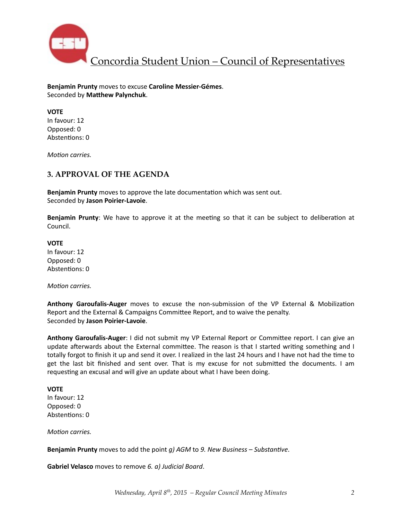

**Benjamin Prunty** moves to excuse **Caroline Messier-Gémes**. Seconded by Matthew Palynchuk.

**VOTE** In favour: 12 Opposed: 0 Abstentions: 0

*Motion carries.* 

## **3. APPROVAL OF THE AGENDA**

**Benjamin Prunty** moves to approve the late documentation which was sent out. Seconded by **Jason Poirier-Lavoie**. 

**Benjamin Prunty**: We have to approve it at the meeting so that it can be subject to deliberation at Council. 

**VOTE** In favour: 12 Opposed: 0 Abstentions: 0

*Motion carries.* 

**Anthony Garoufalis-Auger** moves to excuse the non-submission of the VP External & Mobilization Report and the External & Campaigns Committee Report, and to waive the penalty. Seconded by **Jason Poirier-Lavoie**. 

**Anthony Garoufalis-Auger**: I did not submit my VP External Report or Committee report. I can give an update afterwards about the External committee. The reason is that I started writing something and I totally forgot to finish it up and send it over. I realized in the last 24 hours and I have not had the time to get the last bit finished and sent over. That is my excuse for not submitted the documents. I am requesting an excusal and will give an update about what I have been doing.

**VOTE** In favour: 12 Opposed: 0 Abstentions: 0

*Motion carries.* 

**Benjamin Prunty** moves to add the point *g)* AGM to 9. New Business – Substantive.

**Gabriel Velasco** moves to remove 6. a) Judicial Board.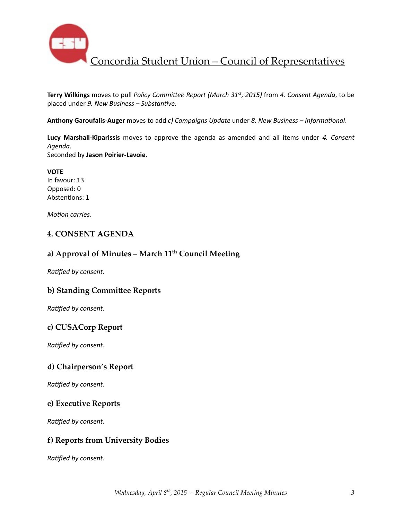

Terry Wilkings moves to pull *Policy Committee Report (March 31<sup>st</sup>, 2015)* from 4. Consent Agenda, to be placed under 9. New Business - Substantive.

Anthony Garoufalis-Auger moves to add *c)* Campaigns Update under 8. New Business – Informational.

**Lucy Marshall-Kiparissis** moves to approve the agenda as amended and all items under 4. Consent *Agenda*. 

Seconded by **Jason Poirier-Lavoie**. 

**VOTE** In favour: 13 Opposed: 0 Abstentions: 1

*Motion carries.* 

## **4. CONSENT AGENDA**

## **a) Approval of Minutes – March 11th Council Meeting**

**Ratified by consent.** 

### **b) Standing Committee Reports**

**Ratified by consent.** 

## **c) CUSACorp Report**

**Ratified by consent.** 

### **d) Chairperson's Report**

*Ratified by consent.* 

### **e) Executive Reports**

**Ratified by consent.** 

## **f) Reports from University Bodies**

**Ratified by consent.**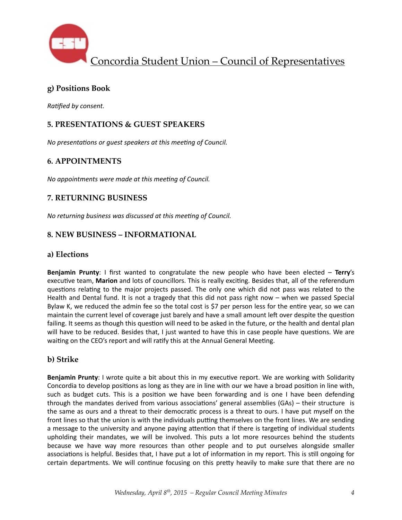

## **g) Positions Book**

**Ratified by consent.** 

## **5. PRESENTATIONS & GUEST SPEAKERS**

*No presentations or guest speakers at this meeting of Council.* 

## **6. APPOINTMENTS**

*No appointments were made at this meeting of Council.* 

## **7. RETURNING BUSINESS**

*No returning business was discussed at this meeting of Council.* 

## **8. NEW BUSINESS – INFORMATIONAL**

### **a) Elections**

**Benjamin Prunty**: I first wanted to congratulate the new people who have been elected – **Terry's** executive team, Marion and lots of councillors. This is really exciting. Besides that, all of the referendum questions relating to the major projects passed. The only one which did not pass was related to the Health and Dental fund. It is not a tragedy that this did not pass right now  $-$  when we passed Special Bylaw K, we reduced the admin fee so the total cost is \$7 per person less for the entire year, so we can maintain the current level of coverage just barely and have a small amount left over despite the question failing. It seems as though this question will need to be asked in the future, or the health and dental plan will have to be reduced. Besides that, I just wanted to have this in case people have questions. We are waiting on the CEO's report and will ratify this at the Annual General Meeting.

## **b) Strike**

**Benjamin Prunty**: I wrote quite a bit about this in my executive report. We are working with Solidarity Concordia to develop positions as long as they are in line with our we have a broad position in line with, such as budget cuts. This is a position we have been forwarding and is one I have been defending through the mandates derived from various associations' general assemblies  $(GAs)$  – their structure is the same as ours and a threat to their democratic process is a threat to ours. I have put myself on the front lines so that the union is with the individuals putting themselves on the front lines. We are sending a message to the university and anyone paying attention that if there is targeting of individual students upholding their mandates, we will be involved. This puts a lot more resources behind the students because we have way more resources than other people and to put ourselves alongside smaller associations is helpful. Besides that, I have put a lot of information in my report. This is still ongoing for certain departments. We will continue focusing on this pretty heavily to make sure that there are no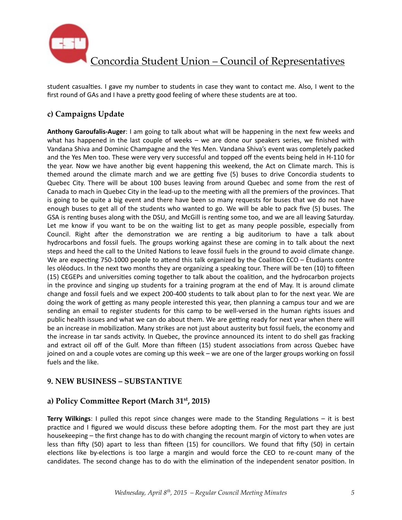

student casualties. I gave my number to students in case they want to contact me. Also, I went to the first round of GAs and I have a pretty good feeling of where these students are at too.

# **c) Campaigns Update**

**Anthony Garoufalis-Auger**: I am going to talk about what will be happening in the next few weeks and what has happened in the last couple of weeks  $-$  we are done our speakers series, we finished with Vandana Shiva and Dominic Champagne and the Yes Men. Vandana Shiva's event was completely packed and the Yes Men too. These were very very successful and topped off the events being held in H-110 for the year. Now we have another big event happening this weekend, the Act on Climate march. This is themed around the climate march and we are getting five (5) buses to drive Concordia students to Quebec City. There will be about 100 buses leaving from around Quebec and some from the rest of Canada to mach in Quebec City in the lead-up to the meeting with all the premiers of the provinces. That is going to be quite a big event and there have been so many requests for buses that we do not have enough buses to get all of the students who wanted to go. We will be able to pack five (5) buses. The GSA is renting buses along with the DSU, and McGill is renting some too, and we are all leaving Saturday. Let me know if you want to be on the waiting list to get as many people possible, especially from Council. Right after the demonstration we are renting a big auditorium to have a talk about hydrocarbons and fossil fuels. The groups working against these are coming in to talk about the next steps and heed the call to the United Nations to leave fossil fuels in the ground to avoid climate change. We are expecting 750-1000 people to attend this talk organized by the Coalition ECO – Étudiants contre les oléoducs. In the next two months they are organizing a speaking tour. There will be ten (10) to fifteen (15) CEGEPs and universities coming together to talk about the coalition, and the hydrocarbon projects in the province and singing up students for a training program at the end of May. It is around climate change and fossil fuels and we expect 200-400 students to talk about plan to for the next year. We are doing the work of getting as many people interested this year, then planning a campus tour and we are sending an email to register students for this camp to be well-versed in the human rights issues and public health issues and what we can do about them. We are getting ready for next year when there will be an increase in mobilization. Many strikes are not just about austerity but fossil fuels, the economy and the increase in tar sands activity. In Quebec, the province announced its intent to do shell gas fracking and extract oil off of the Gulf. More than fifteen (15) student associations from across Quebec have joined on and a couple votes are coming up this week - we are one of the larger groups working on fossil fuels and the like.

## **9. NEW BUSINESS – SUBSTANTIVE**

## a) Policy Committee Report (March 31<sup>st</sup>, 2015)

**Terry Wilkings**: I pulled this repot since changes were made to the Standing Regulations – it is best practice and I figured we would discuss these before adopting them. For the most part they are just housekeeping – the first change has to do with changing the recount margin of victory to when votes are less than fifty (50) apart to less than fifteen (15) for councillors. We found that fifty (50) in certain elections like by-elections is too large a margin and would force the CEO to re-count many of the candidates. The second change has to do with the elimination of the independent senator position. In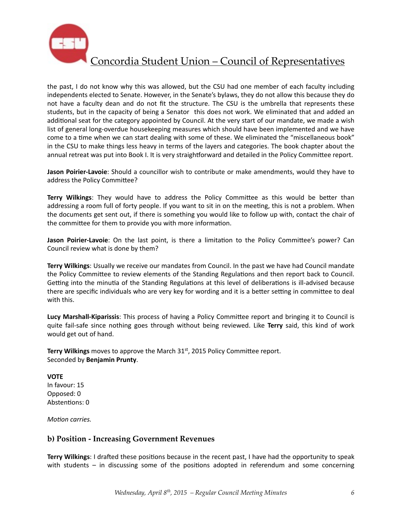

the past, I do not know why this was allowed, but the CSU had one member of each faculty including independents elected to Senate. However, in the Senate's bylaws, they do not allow this because they do not have a faculty dean and do not fit the structure. The CSU is the umbrella that represents these students, but in the capacity of being a Senator this does not work. We eliminated that and added an additional seat for the category appointed by Council. At the very start of our mandate, we made a wish list of general long-overdue housekeeping measures which should have been implemented and we have come to a time when we can start dealing with some of these. We eliminated the "miscellaneous book" in the CSU to make things less heavy in terms of the layers and categories. The book chapter about the annual retreat was put into Book I. It is very straightforward and detailed in the Policy Committee report.

**Jason Poirier-Lavoie**: Should a councillor wish to contribute or make amendments, would they have to address the Policy Committee?

**Terry Wilkings:** They would have to address the Policy Committee as this would be better than addressing a room full of forty people. If you want to sit in on the meeting, this is not a problem. When the documents get sent out, if there is something you would like to follow up with, contact the chair of the committee for them to provide you with more information.

**Jason Poirier-Lavoie**: On the last point, is there a limitation to the Policy Committee's power? Can Council review what is done by them?

**Terry Wilkings:** Usually we receive our mandates from Council. In the past we have had Council mandate the Policy Committee to review elements of the Standing Regulations and then report back to Council. Getting into the minutia of the Standing Regulations at this level of deliberations is ill-advised because there are specific individuals who are very key for wording and it is a better setting in committee to deal with this.

**Lucy Marshall-Kiparissis:** This process of having a Policy Committee report and bringing it to Council is quite fail-safe since nothing goes through without being reviewed. Like Terry said, this kind of work would get out of hand.

**Terry Wilkings** moves to approve the March 31<sup>st</sup>, 2015 Policy Committee report. Seconded by **Benjamin Prunty**. 

**VOTE** In favour: 15 Opposed: 0 Abstentions: 0

*Motion carries.* 

## **b) Position - Increasing Government Revenues**

**Terry Wilkings**: I drafted these positions because in the recent past, I have had the opportunity to speak with students  $-$  in discussing some of the positions adopted in referendum and some concerning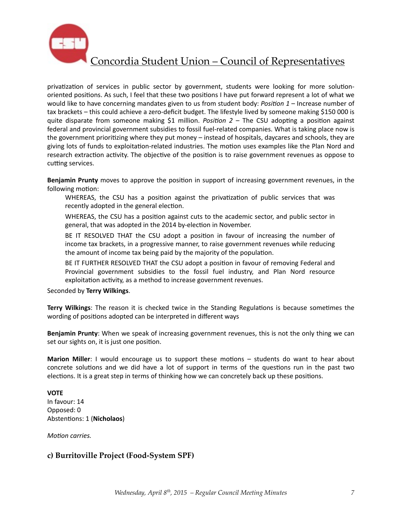

privatization of services in public sector by government, students were looking for more solutionoriented positions. As such, I feel that these two positions I have put forward represent a lot of what we would like to have concerning mandates given to us from student body: *Position 1* – Increase number of tax brackets – this could achieve a zero-deficit budget. The lifestyle lived by someone making \$150 000 is quite disparate from someone making \$1 million. *Position*  $2 -$  The CSU adopting a position against federal and provincial government subsidies to fossil fuel-related companies. What is taking place now is the government prioritizing where they put money – instead of hospitals, daycares and schools, they are giving lots of funds to exploitation-related industries. The motion uses examples like the Plan Nord and research extraction activity. The objective of the position is to raise government revenues as oppose to cutting services.

**Benjamin Prunty** moves to approve the position in support of increasing government revenues, in the following motion:

- WHEREAS, the CSU has a position against the privatization of public services that was recently adopted in the general election.
- WHEREAS, the CSU has a position against cuts to the academic sector, and public sector in general, that was adopted in the 2014 by-election in November.
- BE IT RESOLVED THAT the CSU adopt a position in favour of increasing the number of income tax brackets, in a progressive manner, to raise government revenues while reducing the amount of income tax being paid by the majority of the population.
- BE IT FURTHER RESOLVED THAT the CSU adopt a position in favour of removing Federal and Provincial government subsidies to the fossil fuel industry, and Plan Nord resource exploitation activity, as a method to increase government revenues.

Seconded by **Terry Wilkings**. 

**Terry Wilkings**: The reason it is checked twice in the Standing Regulations is because sometimes the wording of positions adopted can be interpreted in different ways

**Benjamin Prunty**: When we speak of increasing government revenues, this is not the only thing we can set our sights on, it is just one position.

**Marion Miller**: I would encourage us to support these motions – students do want to hear about concrete solutions and we did have a lot of support in terms of the questions run in the past two elections. It is a great step in terms of thinking how we can concretely back up these positions.

### **VOTE**

In favour: 14 Opposed: 0 Abstentions: 1 (Nicholaos)

*Motion carries.* 

## **c) Burritoville Project (Food-System SPF)**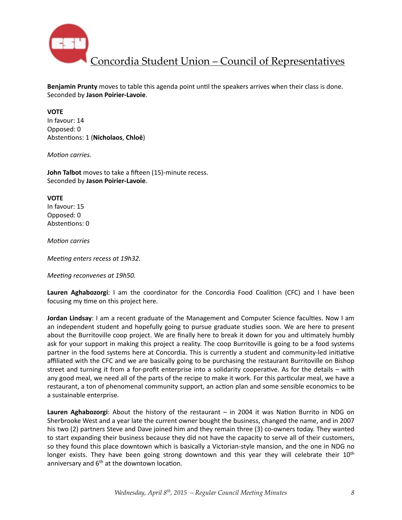

**Benjamin Prunty** moves to table this agenda point until the speakers arrives when their class is done. Seconded by **Jason Poirier-Lavoie**. 

#### **VOTE**

In favour: 14 Opposed: 0 Abstentions: 1 (Nicholaos, Chloë)

*Motion carries.* 

**John Talbot** moves to take a fifteen (15)-minute recess. Seconded by **Jason Poirier-Lavoie**. 

**VOTE** In favour: 15 Opposed: 0 Abstentions: 0

*Motion* carries

*Meeting enters recess at 19h32.* 

*Meeting reconvenes at 19h50.* 

Lauren Aghabozorgi: I am the coordinator for the Concordia Food Coalition (CFC) and I have been focusing my time on this project here.

**Jordan Lindsay**: I am a recent graduate of the Management and Computer Science faculties. Now I am an independent student and hopefully going to pursue graduate studies soon. We are here to present about the Burritoville coop project. We are finally here to break it down for you and ultimately humbly ask for your support in making this project a reality. The coop Burritoville is going to be a food systems partner in the food systems here at Concordia. This is currently a student and community-led initiative affiliated with the CFC and we are basically going to be purchasing the restaurant Burritoville on Bishop street and turning it from a for-profit enterprise into a solidarity cooperative. As for the details  $-$  with any good meal, we need all of the parts of the recipe to make it work. For this particular meal, we have a restaurant, a ton of phenomenal community support, an action plan and some sensible economics to be a sustainable enterprise.

**Lauren Aghabozorgi:** About the history of the restaurant – in 2004 it was Nation Burrito in NDG on Sherbrooke West and a year late the current owner bought the business, changed the name, and in 2007 his two (2) partners Steve and Dave joined him and they remain three (3) co-owners today. They wanted to start expanding their business because they did not have the capacity to serve all of their customers, so they found this place downtown which is basically a Victorian-style mansion, and the one in NDG no longer exists. They have been going strong downtown and this year they will celebrate their  $10<sup>th</sup>$ anniversary and  $6<sup>th</sup>$  at the downtown location.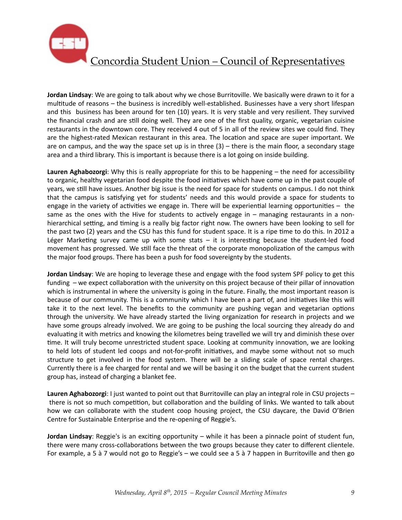

**Jordan Lindsay**: We are going to talk about why we chose Burritoville. We basically were drawn to it for a multitude of reasons – the business is incredibly well-established. Businesses have a very short lifespan and this business has been around for ten (10) years. It is very stable and very resilient. They survived the financial crash and are still doing well. They are one of the first quality, organic, vegetarian cuisine restaurants in the downtown core. They received 4 out of 5 in all of the review sites we could find. They are the highest-rated Mexican restaurant in this area. The location and space are super important. We are on campus, and the way the space set up is in three  $(3)$  – there is the main floor, a secondary stage area and a third library. This is important is because there is a lot going on inside building.

Lauren Aghabozorgi: Why this is really appropriate for this to be happening – the need for accessibility to organic, healthy vegetarian food despite the food initiatives which have come up in the past couple of years, we still have issues. Another big issue is the need for space for students on campus. I do not think that the campus is satisfying yet for students' needs and this would provide a space for students to engage in the variety of activities we engage in. There will be experiential learning opportunities  $-$  the same as the ones with the Hive for students to actively engage in  $-$  managing restaurants in a nonhierarchical setting, and timing is a really big factor right now. The owners have been looking to sell for the past two (2) years and the CSU has this fund for student space. It is a ripe time to do this. In 2012 a Léger Marketing survey came up with some stats  $-$  it is interesting because the student-led food movement has progressed. We still face the threat of the corporate monopolization of the campus with the major food groups. There has been a push for food sovereignty by the students.

**Jordan Lindsay**: We are hoping to leverage these and engage with the food system SPF policy to get this funding  $-$  we expect collaboration with the university on this project because of their pillar of innovation which is instrumental in where the university is going in the future. Finally, the most important reason is because of our community. This is a community which I have been a part of, and initiatives like this will take it to the next level. The benefits to the community are pushing vegan and vegetarian options through the university. We have already started the living organization for research in projects and we have some groups already involved. We are going to be pushing the local sourcing they already do and evaluating it with metrics and knowing the kilometres being travelled we will try and diminish these over time. It will truly become unrestricted student space. Looking at community innovation, we are looking to held lots of student led coops and not-for-profit initiatives, and maybe some without not so much structure to get involved in the food system. There will be a sliding scale of space rental charges. Currently there is a fee charged for rental and we will be basing it on the budget that the current student group has, instead of charging a blanket fee.

**Lauren Aghabozorgi:** I just wanted to point out that Burritoville can play an integral role in CSU projects – there is not so much competition, but collaboration and the building of links. We wanted to talk about how we can collaborate with the student coop housing project, the CSU daycare, the David O'Brien Centre for Sustainable Enterprise and the re-opening of Reggie's.

**Jordan Lindsay**: Reggie's is an exciting opportunity – while it has been a pinnacle point of student fun, there were many cross-collaborations between the two groups because they cater to different clientele. For example, a 5 à 7 would not go to Reggie's – we could see a 5 à 7 happen in Burritoville and then go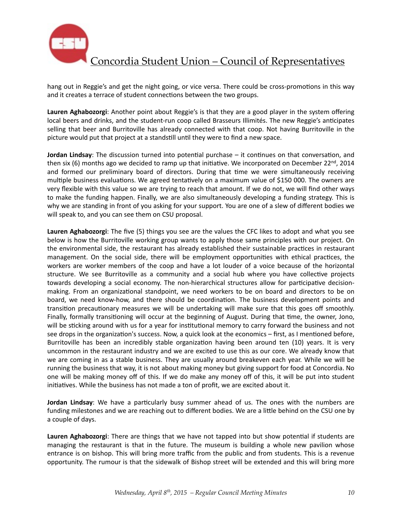

hang out in Reggie's and get the night going, or vice versa. There could be cross-promotions in this way and it creates a terrace of student connections between the two groups.

Lauren Aghabozorgi: Another point about Reggie's is that they are a good player in the system offering local beers and drinks, and the student-run coop called Brasseurs Illimités. The new Reggie's anticipates selling that beer and Burritoville has already connected with that coop. Not having Burritoville in the picture would put that project at a standstill until they were to find a new space.

**Jordan Lindsay**: The discussion turned into potential purchase – it continues on that conversation, and then six (6) months ago we decided to ramp up that initiative. We incorporated on December  $22^{nd}$ , 2014 and formed our preliminary board of directors. During that time we were simultaneously receiving multiple business evaluations. We agreed tentatively on a maximum value of \$150 000. The owners are very flexible with this value so we are trying to reach that amount. If we do not, we will find other ways to make the funding happen. Finally, we are also simultaneously developing a funding strategy. This is why we are standing in front of you asking for your support. You are one of a slew of different bodies we will speak to, and you can see them on CSU proposal.

**Lauren Aghabozorgi:** The five (5) things you see are the values the CFC likes to adopt and what you see below is how the Burritoville working group wants to apply those same principles with our project. On the environmental side, the restaurant has already established their sustainable practices in restaurant management. On the social side, there will be employment opportunities with ethical practices, the workers are worker members of the coop and have a lot louder of a voice because of the horizontal structure. We see Burritoville as a community and a social hub where you have collective projects towards developing a social economy. The non-hierarchical structures allow for participative decisionmaking. From an organizational standpoint, we need workers to be on board and directors to be on board, we need know-how, and there should be coordination. The business development points and transition precautionary measures we will be undertaking will make sure that this goes off smoothly. Finally, formally transitioning will occur at the beginning of August. During that time, the owner, Jono, will be sticking around with us for a year for institutional memory to carry forward the business and not see drops in the organization's success. Now, a quick look at the economics – first, as I mentioned before, Burritoville has been an incredibly stable organization having been around ten (10) years. It is very uncommon in the restaurant industry and we are excited to use this as our core. We already know that we are coming in as a stable business. They are usually around breakeven each year. While we will be running the business that way, it is not about making money but giving support for food at Concordia. No one will be making money off of this. If we do make any money off of this, it will be put into student initiatives. While the business has not made a ton of profit, we are excited about it.

**Jordan Lindsay**: We have a particularly busy summer ahead of us. The ones with the numbers are funding milestones and we are reaching out to different bodies. We are a little behind on the CSU one by a couple of days.

**Lauren Aghabozorgi:** There are things that we have not tapped into but show potential if students are managing the restaurant is that in the future. The museum is building a whole new pavilion whose entrance is on bishop. This will bring more traffic from the public and from students. This is a revenue opportunity. The rumour is that the sidewalk of Bishop street will be extended and this will bring more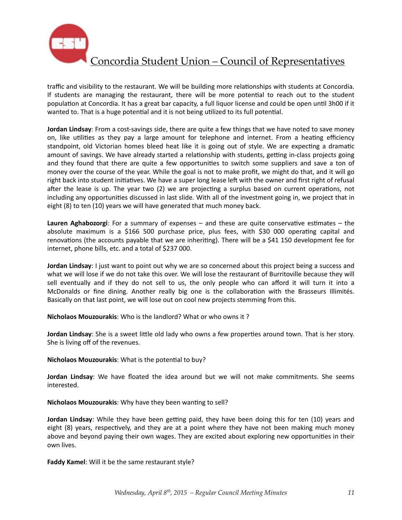

traffic and visibility to the restaurant. We will be building more relationships with students at Concordia. If students are managing the restaurant, there will be more potential to reach out to the student population at Concordia. It has a great bar capacity, a full liquor license and could be open until 3h00 if it wanted to. That is a huge potential and it is not being utilized to its full potential.

**Jordan Lindsay**: From a cost-savings side, there are quite a few things that we have noted to save money on, like utilities as they pay a large amount for telephone and internet. From a heating efficiency standpoint, old Victorian homes bleed heat like it is going out of style. We are expecting a dramatic amount of savings. We have already started a relationship with students, getting in-class projects going and they found that there are quite a few opportunities to switch some suppliers and save a ton of money over the course of the year. While the goal is not to make profit, we might do that, and it will go right back into student initiatives. We have a super long lease left with the owner and first right of refusal after the lease is up. The year two  $(2)$  we are projecting a surplus based on current operations, not including any opportunities discussed in last slide. With all of the investment going in, we project that in eight (8) to ten (10) years we will have generated that much money back.

**Lauren Aghabozorgi:** For a summary of expenses – and these are quite conservative estimates – the absolute maximum is a \$166 500 purchase price, plus fees, with \$30 000 operating capital and renovations (the accounts payable that we are inheriting). There will be a \$41 150 development fee for internet, phone bills, etc. and a total of \$237 000.

**Jordan Lindsay**: I just want to point out why we are so concerned about this project being a success and what we will lose if we do not take this over. We will lose the restaurant of Burritoville because they will sell eventually and if they do not sell to us, the only people who can afford it will turn it into a McDonalds or fine dining. Another really big one is the collaboration with the Brasseurs Illimités. Basically on that last point, we will lose out on cool new projects stemming from this.

**Nicholaos Mouzourakis:** Who is the landlord? What or who owns it?

**Jordan Lindsay**: She is a sweet little old lady who owns a few properties around town. That is her story. She is living off of the revenues.

**Nicholaos Mouzourakis:** What is the potential to buy?

**Jordan Lindsay**: We have floated the idea around but we will not make commitments. She seems interested. 

**Nicholaos Mouzourakis:** Why have they been wanting to sell?

**Jordan Lindsay**: While they have been getting paid, they have been doing this for ten (10) years and eight (8) years, respectively, and they are at a point where they have not been making much money above and beyond paying their own wages. They are excited about exploring new opportunities in their own lives.

**Faddy Kamel:** Will it be the same restaurant style?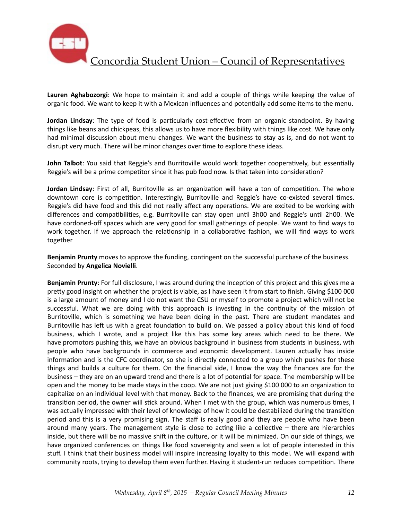

Lauren Aghabozorgi: We hope to maintain it and add a couple of things while keeping the value of organic food. We want to keep it with a Mexican influences and potentially add some items to the menu.

**Jordan Lindsay**: The type of food is particularly cost-effective from an organic standpoint. By having things like beans and chickpeas, this allows us to have more flexibility with things like cost. We have only had minimal discussion about menu changes. We want the business to stay as is, and do not want to disrupt very much. There will be minor changes over time to explore these ideas.

**John Talbot**: You said that Reggie's and Burritoville would work together cooperatively, but essentially Reggie's will be a prime competitor since it has pub food now. Is that taken into consideration?

**Jordan Lindsay**: First of all, Burritoville as an organization will have a ton of competition. The whole downtown core is competition. Interestingly, Burritoville and Reggie's have co-existed several times. Reggie's did have food and this did not really affect any operations. We are excited to be working with differences and compatibilities, e.g. Burritoville can stay open until 3h00 and Reggie's until 2h00. We have cordoned-off spaces which are very good for small gatherings of people. We want to find ways to work together. If we approach the relationship in a collaborative fashion, we will find ways to work together 

**Benjamin Prunty** moves to approve the funding, contingent on the successful purchase of the business. Seconded by **Angelica Novielli**. 

**Benjamin Prunty**: For full disclosure, I was around during the inception of this project and this gives me a pretty good insight on whether the project is viable, as I have seen it from start to finish. Giving \$100 000 is a large amount of money and I do not want the CSU or myself to promote a project which will not be successful. What we are doing with this approach is investing in the continuity of the mission of Burritoville, which is something we have been doing in the past. There are student mandates and Burritoville has left us with a great foundation to build on. We passed a policy about this kind of food business, which I wrote, and a project like this has some key areas which need to be there. We have promotors pushing this, we have an obvious background in business from students in business, wth people who have backgrounds in commerce and economic development. Lauren actually has inside information and is the CFC coordinator, so she is directly connected to a group which pushes for these things and builds a culture for them. On the financial side, I know the way the finances are for the business – they are on an upward trend and there is a lot of potential for space. The membership will be open and the money to be made stays in the coop. We are not just giving \$100 000 to an organization to capitalize on an individual level with that money. Back to the finances, we are promising that during the transition period, the owner will stick around. When I met with the group, which was numerous times, I was actually impressed with their level of knowledge of how it could be destabilized during the transition period and this is a very promising sign. The staff is really good and they are people who have been around many years. The management style is close to acting like a collective  $-$  there are hierarchies inside, but there will be no massive shift in the culture, or it will be minimized. On our side of things, we have organized conferences on things like food sovereignty and seen a lot of people interested in this stuff. I think that their business model will inspire increasing loyalty to this model. We will expand with community roots, trying to develop them even further. Having it student-run reduces competition. There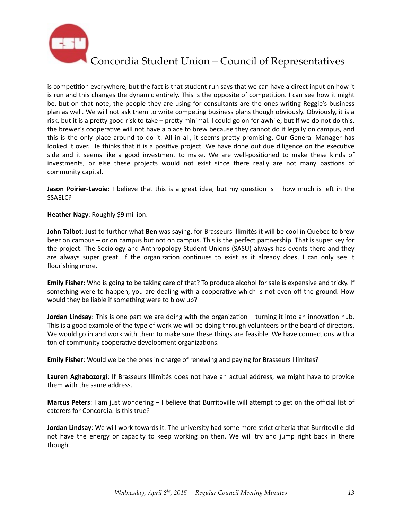

is competition everywhere, but the fact is that student-run says that we can have a direct input on how it is run and this changes the dynamic entirely. This is the opposite of competition. I can see how it might be, but on that note, the people they are using for consultants are the ones writing Reggie's business plan as well. We will not ask them to write competing business plans though obviously. Obviously, it is a risk, but it is a pretty good risk to take – pretty minimal. I could go on for awhile, but If we do not do this, the brewer's cooperative will not have a place to brew because they cannot do it legally on campus, and this is the only place around to do it. All in all, it seems pretty promising. Our General Manager has looked it over. He thinks that it is a positive project. We have done out due diligence on the executive side and it seems like a good investment to make. We are well-positioned to make these kinds of investments, or else these projects would not exist since there really are not many bastions of community capital.

**Jason Poirier-Lavoie**: I believe that this is a great idea, but my question is – how much is left in the SSAELC? 

**Heather Nagy: Roughly \$9 million.** 

**John Talbot**: Just to further what **Ben** was saying, for Brasseurs Illimités it will be cool in Quebec to brew beer on campus – or on campus but not on campus. This is the perfect partnership. That is super key for the project. The Sociology and Anthropology Student Unions (SASU) always has events there and they are always super great. If the organization continues to exist as it already does, I can only see it flourishing more.

**Emily Fisher**: Who is going to be taking care of that? To produce alcohol for sale is expensive and tricky. If something were to happen, you are dealing with a cooperative which is not even off the ground. How would they be liable if something were to blow up?

**Jordan Lindsay**: This is one part we are doing with the organization – turning it into an innovation hub. This is a good example of the type of work we will be doing through volunteers or the board of directors. We would go in and work with them to make sure these things are feasible. We have connections with a ton of community cooperative development organizations.

**Emily Fisher**: Would we be the ones in charge of renewing and paying for Brasseurs Illimités?

Lauren Aghabozorgi: If Brasseurs Illimités does not have an actual address, we might have to provide them with the same address.

**Marcus Peters**: I am just wondering – I believe that Burritoville will attempt to get on the official list of caterers for Concordia. Is this true?

**Jordan Lindsay**: We will work towards it. The university had some more strict criteria that Burritoville did not have the energy or capacity to keep working on then. We will try and jump right back in there though.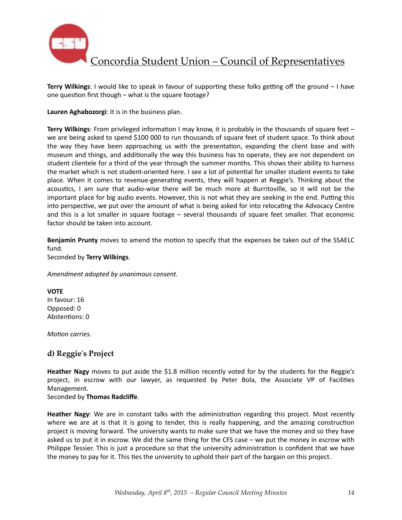

**Terry Wilkings**: I would like to speak in favour of supporting these folks getting off the ground – I have one question first though  $-$  what is the square footage?

Lauren Aghabozorgi: It is in the business plan.

**Terry Wilkings**: From privileged information I may know, it is probably in the thousands of square feet – we are being asked to spend \$100 000 to run thousands of square feet of student space. To think about the way they have been approaching us with the presentation, expanding the client base and with museum and things, and additionally the way this business has to operate, they are not dependent on student clientele for a third of the year through the summer months. This shows their ability to harness the market which is not student-oriented here. I see a lot of potential for smaller student events to take place. When it comes to revenue-generating events, they will happen at Reggie's. Thinking about the acoustics, I am sure that audio-wise there will be much more at Burritoville, so it will not be the important place for big audio events. However, this is not what they are seeking in the end. Putting this into perspective, we put over the amount of what is being asked for into relocating the Advocacy Centre and this is a lot smaller in square footage  $-$  several thousands of square feet smaller. That economic factor should be taken into account.

**Benjamin Prunty** moves to amend the motion to specify that the expenses be taken out of the SSAELC fund. 

Seconded by **Terry Wilkings**. 

*Amendment adopted by unanimous consent.* 

**VOTE** In favour: 16 Opposed: 0 Abstentions: 0

*Motion carries.* 

## **d) Reggie's Project**

Heather Nagy moves to put aside the \$1.8 million recently voted for by the students for the Reggie's project, in escrow with our lawyer, as requested by Peter Bola, the Associate VP of Facilities Management. 

#### Seconded by **Thomas Radcliffe**.

**Heather Nagy**: We are in constant talks with the administration regarding this project. Most recently where we are at is that it is going to tender, this is really happening, and the amazing construction project is moving forward. The university wants to make sure that we have the money and so they have asked us to put it in escrow. We did the same thing for the CFS case  $-$  we put the money in escrow with Philippe Tessier. This is just a procedure so that the university administration is confident that we have the money to pay for it. This ties the university to uphold their part of the bargain on this project.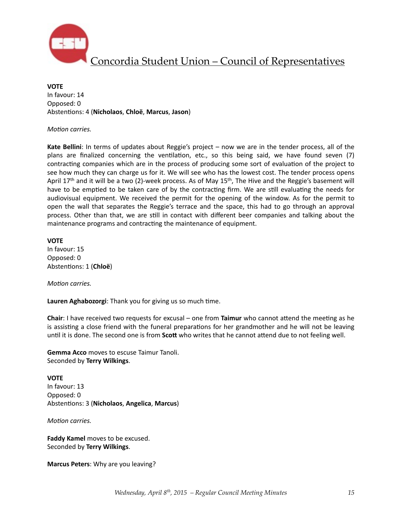

**VOTE** In favour: 14 Opposed: 0 Absten%ons: 4 (**Nicholaos**, **Chloë**, **Marcus**, **Jason**)

#### *Motion carries.*

**Kate Bellini**: In terms of updates about Reggie's project – now we are in the tender process, all of the plans are finalized concerning the ventilation, etc., so this being said, we have found seven (7) contracting companies which are in the process of producing some sort of evaluation of the project to see how much they can charge us for it. We will see who has the lowest cost. The tender process opens April 17<sup>th</sup> and it will be a two (2)-week process. As of May 15<sup>th</sup>, The Hive and the Reggie's basement will have to be emptied to be taken care of by the contracting firm. We are still evaluating the needs for audiovisual equipment. We received the permit for the opening of the window. As for the permit to open the wall that separates the Reggie's terrace and the space, this had to go through an approval process. Other than that, we are still in contact with different beer companies and talking about the maintenance programs and contracting the maintenance of equipment.

#### **VOTE**

In favour: 15 Opposed: 0 Abstentions: 1 (Chloë)

*Motion carries.* 

**Lauren Aghabozorgi:** Thank you for giving us so much time.

**Chair**: I have received two requests for excusal – one from **Taimur** who cannot attend the meeting as he is assisting a close friend with the funeral preparations for her grandmother and he will not be leaving until it is done. The second one is from Scott who writes that he cannot attend due to not feeling well.

**Gemma Acco** moves to escuse Taimur Tanoli. Seconded by **Terry Wilkings**. 

**VOTE** In favour: 13 Opposed: 0 Absten%ons: 3 (**Nicholaos**, **Angelica**, **Marcus**)

*Motion carries.* 

**Faddy Kamel moves to be excused.** Seconded by **Terry Wilkings**. 

**Marcus Peters:** Why are you leaving?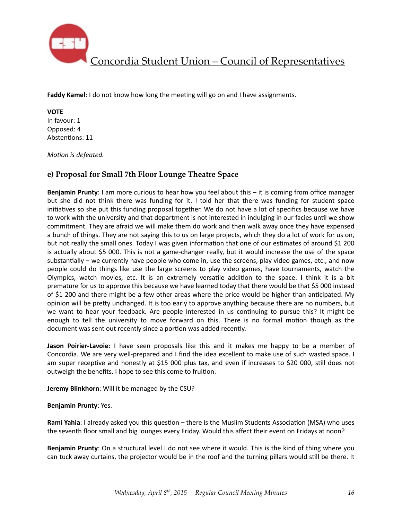

**Faddy Kamel:** I do not know how long the meeting will go on and I have assignments.

**VOTE** 

In favour: 1 Opposed: 4 Abstentions: 11

*Motion* is defeated.

## **e) Proposal for Small 7th Floor Lounge Theatre Space**

**Benjamin Prunty**: I am more curious to hear how you feel about this – it is coming from office manager but she did not think there was funding for it. I told her that there was funding for student space initiatives so she put this funding proposal together. We do not have a lot of specifics because we have to work with the university and that department is not interested in indulging in our facies until we show commitment. They are afraid we will make them do work and then walk away once they have expensed a bunch of things. They are not saying this to us on large projects, which they do a lot of work for us on, but not really the small ones. Today I was given information that one of our estimates of around \$1 200 is actually about \$5 000. This is not a game-changer really, but it would increase the use of the space substantially – we currently have people who come in, use the screens, play video games, etc., and now people could do things like use the large screens to play video games, have tournaments, watch the Olympics, watch movies, etc. It is an extremely versatile addition to the space. I think it is a bit premature for us to approve this because we have learned today that there would be that \$5 000 instead of \$1 200 and there might be a few other areas where the price would be higher than anticipated. My opinion will be pretty unchanged. It is too early to approve anything because there are no numbers, but we want to hear your feedback. Are people interested in us continuing to pursue this? It might be enough to tell the university to move forward on this. There is no formal motion though as the document was sent out recently since a portion was added recently.

**Jason Poirier-Lavoie**: I have seen proposals like this and it makes me happy to be a member of Concordia. We are very well-prepared and I find the idea excellent to make use of such wasted space. I am super receptive and honestly at \$15 000 plus tax, and even if increases to \$20 000, still does not outweigh the benefits. I hope to see this come to fruition.

**Jeremy Blinkhorn**: Will it be managed by the CSU?

### **Benjamin Prunty: Yes.**

**Rami Yahia**: I already asked you this question – there is the Muslim Students Association (MSA) who uses the seventh floor small and big lounges every Friday. Would this affect their event on Fridays at noon?

**Benjamin Prunty**: On a structural level I do not see where it would. This is the kind of thing where you can tuck away curtains, the projector would be in the roof and the turning pillars would still be there. It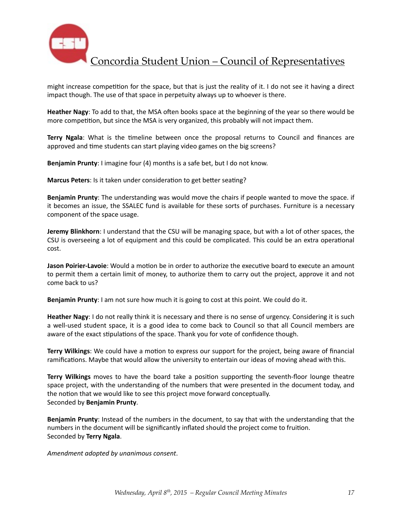

might increase competition for the space, but that is just the reality of it. I do not see it having a direct impact though. The use of that space in perpetuity always up to whoever is there.

**Heather Nagy**: To add to that, the MSA often books space at the beginning of the year so there would be more competition, but since the MSA is very organized, this probably will not impact them.

**Terry Ngala**: What is the timeline between once the proposal returns to Council and finances are approved and time students can start playing video games on the big screens?

**Benjamin Prunty**: I imagine four (4) months is a safe bet, but I do not know.

**Marcus Peters**: Is it taken under consideration to get better seating?

**Benjamin Prunty**: The understanding was would move the chairs if people wanted to move the space. if it becomes an issue, the SSALEC fund is available for these sorts of purchases. Furniture is a necessary component of the space usage.

**Jeremy Blinkhorn**: I understand that the CSU will be managing space, but with a lot of other spaces, the CSU is overseeing a lot of equipment and this could be complicated. This could be an extra operational cost. 

**Jason Poirier-Lavoie**: Would a motion be in order to authorize the executive board to execute an amount to permit them a certain limit of money, to authorize them to carry out the project, approve it and not come back to us?

**Benjamin Prunty**: I am not sure how much it is going to cost at this point. We could do it.

**Heather Nagy**: I do not really think it is necessary and there is no sense of urgency. Considering it is such a well-used student space, it is a good idea to come back to Council so that all Council members are aware of the exact stipulations of the space. Thank you for vote of confidence though.

**Terry Wilkings:** We could have a motion to express our support for the project, being aware of financial ramifications. Maybe that would allow the university to entertain our ideas of moving ahead with this.

**Terry Wilkings** moves to have the board take a position supporting the seventh-floor lounge theatre space project, with the understanding of the numbers that were presented in the document today, and the notion that we would like to see this project move forward conceptually. Seconded by **Benjamin Prunty**. 

**Benjamin Prunty**: Instead of the numbers in the document, to say that with the understanding that the numbers in the document will be significantly inflated should the project come to fruition. Seconded by **Terry Ngala**. 

*Amendment adopted by unanimous consent*.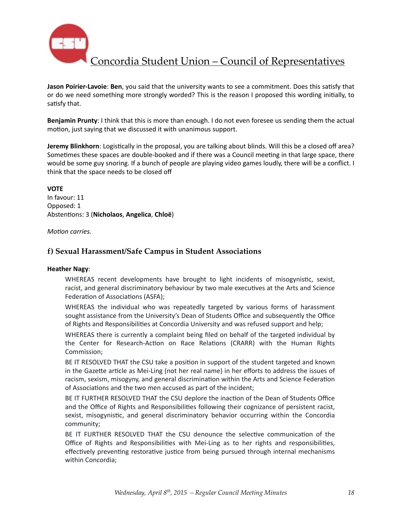

**Jason Poirier-Lavoie: Ben**, you said that the university wants to see a commitment. Does this satisfy that or do we need something more strongly worded? This is the reason I proposed this wording initially, to satisfy that.

**Benjamin Prunty**: I think that this is more than enough. I do not even foresee us sending them the actual motion, just saying that we discussed it with unanimous support.

**Jeremy Blinkhorn**: Logistically in the proposal, you are talking about blinds. Will this be a closed off area? Sometimes these spaces are double-booked and if there was a Council meeting in that large space, there would be some guy snoring. If a bunch of people are playing video games loudly, there will be a conflict. I think that the space needs to be closed off

**VOTE** In favour: 11 Opposed: 1 Absten%ons: 3 (**Nicholaos**, **Angelica**, **Chloë**)

*Motion carries.* 

### **f) Sexual Harassment/Safe Campus in Student Associations**

#### **Heather Nagy:**

WHEREAS recent developments have brought to light incidents of misogynistic, sexist, racist, and general discriminatory behaviour by two male executives at the Arts and Science Federation of Associations (ASFA);

WHEREAS the individual who was repeatedly targeted by various forms of harassment sought assistance from the University's Dean of Students Office and subsequently the Office of Rights and Responsibilities at Concordia University and was refused support and help;

WHEREAS there is currently a complaint being filed on behalf of the targeted individual by the Center for Research-Action on Race Relations (CRARR) with the Human Rights Commission;

BE IT RESOLVED THAT the CSU take a position in support of the student targeted and known in the Gazette article as Mei-Ling (not her real name) in her efforts to address the issues of racism, sexism, misogyny, and general discrimination within the Arts and Science Federation of Associations and the two men accused as part of the incident;

BE IT FURTHER RESOLVED THAT the CSU deplore the inaction of the Dean of Students Office and the Office of Rights and Responsibilities following their cognizance of persistent racist, sexist, misogynistic, and general discriminatory behavior occurring within the Concordia community;

BE IT FURTHER RESOLVED THAT the CSU denounce the selective communication of the Office of Rights and Responsibilities with Mei-Ling as to her rights and responsibilities, effectively preventing restorative justice from being pursued through internal mechanisms within Concordia;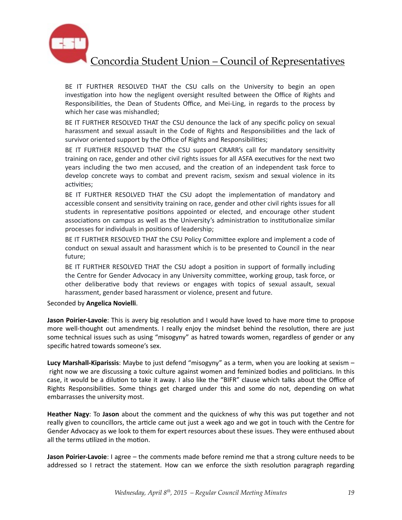

BE IT FURTHER RESOLVED THAT the CSU calls on the University to begin an open investigation into how the negligent oversight resulted between the Office of Rights and Responsibilities, the Dean of Students Office, and Mei-Ling, in regards to the process by which her case was mishandled;

BE IT FURTHER RESOLVED THAT the CSU denounce the lack of any specific policy on sexual harassment and sexual assault in the Code of Rights and Responsibilities and the lack of survivor oriented support by the Office of Rights and Responsibilities;

BE IT FURTHER RESOLVED THAT the CSU support CRARR's call for mandatory sensitivity training on race, gender and other civil rights issues for all ASFA executives for the next two years including the two men accused, and the creation of an independent task force to develop concrete ways to combat and prevent racism, sexism and sexual violence in its activities;

BE IT FURTHER RESOLVED THAT the CSU adopt the implementation of mandatory and accessible consent and sensitivity training on race, gender and other civil rights issues for all students in representative positions appointed or elected, and encourage other student associations on campus as well as the University's administration to institutionalize similar processes for individuals in positions of leadership;

BE IT FURTHER RESOLVED THAT the CSU Policy Committee explore and implement a code of conduct on sexual assault and harassment which is to be presented to Council in the near future;

BE IT FURTHER RESOLVED THAT the CSU adopt a position in support of formally including the Centre for Gender Advocacy in any University committee, working group, task force, or other deliberative body that reviews or engages with topics of sexual assault, sexual harassment, gender based harassment or violence, present and future.

Seconded by **Angelica Novielli**. 

**Jason Poirier-Lavoie**: This is avery big resolution and I would have loved to have more time to propose more well-thought out amendments. I really enjoy the mindset behind the resolution, there are just some technical issues such as using "misogyny" as hatred towards women, regardless of gender or any specific hatred towards someone's sex.

**Lucy Marshall-Kiparissis**: Maybe to just defend "misogyny" as a term, when you are looking at sexism right now we are discussing a toxic culture against women and feminized bodies and politicians. In this case, it would be a dilution to take it away. I also like the "BIFR" clause which talks about the Office of Rights Responsibilities. Some things get charged under this and some do not, depending on what embarrasses the university most.

**Heather Nagy:** To Jason about the comment and the quickness of why this was put together and not really given to councillors, the article came out just a week ago and we got in touch with the Centre for Gender Advocacy as we look to them for expert resources about these issues. They were enthused about all the terms utilized in the motion.

**Jason Poirier-Lavoie**: I agree – the comments made before remind me that a strong culture needs to be addressed so I retract the statement. How can we enforce the sixth resolution paragraph regarding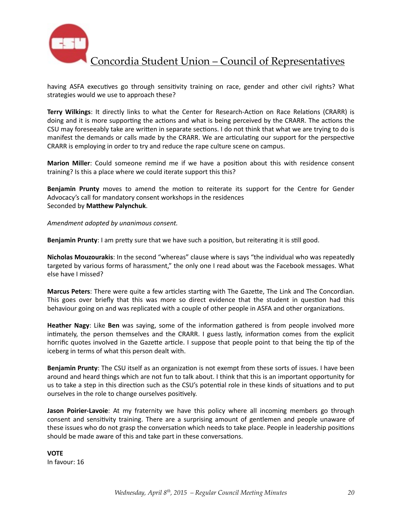

having ASFA executives go through sensitivity training on race, gender and other civil rights? What strategies would we use to approach these?

Terry Wilkings: It directly links to what the Center for Research-Action on Race Relations (CRARR) is doing and it is more supporting the actions and what is being perceived by the CRARR. The actions the CSU may foreseeably take are written in separate sections. I do not think that what we are trying to do is manifest the demands or calls made by the CRARR. We are articulating our support for the perspective CRARR is employing in order to try and reduce the rape culture scene on campus.

**Marion Miller**: Could someone remind me if we have a position about this with residence consent training? Is this a place where we could iterate support this this?

**Benjamin Prunty** moves to amend the motion to reiterate its support for the Centre for Gender Advocacy's call for mandatory consent workshops in the residences Seconded by Matthew Palynchuk.

*Amendment adopted by unanimous consent.* 

**Benjamin Prunty**: I am pretty sure that we have such a position, but reiterating it is still good.

**Nicholas Mouzourakis:** In the second "whereas" clause where is says "the individual who was repeatedly targeted by various forms of harassment," the only one I read about was the Facebook messages. What else have I missed?

**Marcus Peters**: There were quite a few articles starting with The Gazette, The Link and The Concordian. This goes over briefly that this was more so direct evidence that the student in question had this behaviour going on and was replicated with a couple of other people in ASFA and other organizations.

**Heather Nagy**: Like Ben was saying, some of the information gathered is from people involved more intimately, the person themselves and the CRARR. I guess lastly, information comes from the explicit horrific quotes involved in the Gazette article. I suppose that people point to that being the tip of the iceberg in terms of what this person dealt with.

**Benjamin Prunty**: The CSU itself as an organization is not exempt from these sorts of issues. I have been around and heard things which are not fun to talk about. I think that this is an important opportunity for us to take a step in this direction such as the CSU's potential role in these kinds of situations and to put ourselves in the role to change ourselves positively.

**Jason Poirier-Lavoie**: At my fraternity we have this policy where all incoming members go through consent and sensitivity training. There are a surprising amount of gentlemen and people unaware of these issues who do not grasp the conversation which needs to take place. People in leadership positions should be made aware of this and take part in these conversations.

**VOTE**  In favour: 16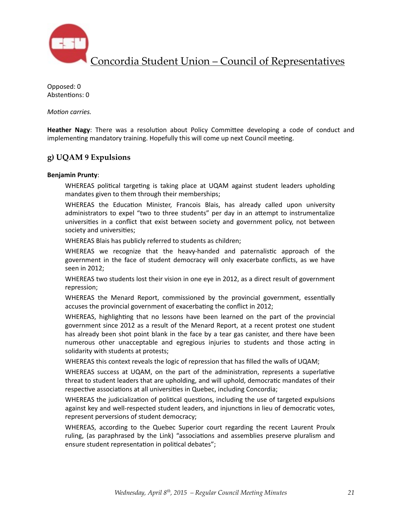

Opposed: 0 Abstentions: 0

*Motion carries.* 

**Heather Nagy**: There was a resolution about Policy Committee developing a code of conduct and implementing mandatory training. Hopefully this will come up next Council meeting.

### **g) UQAM 9 Expulsions**

#### **Benjamin Prunty**:

WHEREAS political targeting is taking place at UQAM against student leaders upholding mandates given to them through their memberships;

WHEREAS the Education Minister, Francois Blais, has already called upon university administrators to expel "two to three students" per day in an attempt to instrumentalize universities in a conflict that exist between society and government policy, not between society and universities;

WHEREAS Blais has publicly referred to students as children;

WHEREAS we recognize that the heavy-handed and paternalistic approach of the government in the face of student democracy will only exacerbate conflicts, as we have seen in 2012;

WHEREAS two students lost their vision in one eye in 2012, as a direct result of government repression;

WHEREAS the Menard Report, commissioned by the provincial government, essentially accuses the provincial government of exacerbating the conflict in 2012;

WHEREAS, highlighting that no lessons have been learned on the part of the provincial government since 2012 as a result of the Menard Report, at a recent protest one student has already been shot point blank in the face by a tear gas canister, and there have been numerous other unacceptable and egregious injuries to students and those acting in solidarity with students at protests;

WHEREAS this context reveals the logic of repression that has filled the walls of UQAM;

WHEREAS success at UQAM, on the part of the administration, represents a superlative threat to student leaders that are upholding, and will uphold, democratic mandates of their respective associations at all universities in Quebec, including Concordia;

WHEREAS the judicialization of political questions, including the use of targeted expulsions against key and well-respected student leaders, and injunctions in lieu of democratic votes, represent perversions of student democracy;

WHEREAS, according to the Quebec Superior court regarding the recent Laurent Proulx ruling, (as paraphrased by the Link) "associations and assemblies preserve pluralism and ensure student representation in political debates";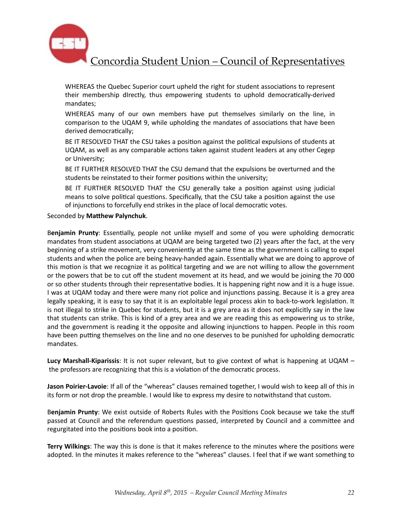

WHEREAS the Quebec Superior court upheld the right for student associations to represent their membership dIrectly, thus empowering students to uphold democratically-derived mandates;

WHEREAS many of our own members have put themselves similarly on the line, in comparison to the UQAM 9, while upholding the mandates of associations that have been derived democratically;

BE IT RESOLVED THAT the CSU takes a position against the political expulsions of students at UQAM, as well as any comparable actions taken against student leaders at any other Cegep or University;

BE IT FURTHER RESOLVED THAT the CSU demand that the expulsions be overturned and the students be reinstated to their former positions within the university;

BE IT FURTHER RESOLVED THAT the CSU generally take a position against using judicial means to solve political questions. Specifically, that the CSU take a position against the use of injunctions to forcefully end strikes in the place of local democratic votes.

Seconded by Matthew Palynchuk.

Benjamin Prunty: Essentially, people not unlike myself and some of you were upholding democratic mandates from student associations at UQAM are being targeted two (2) years after the fact, at the very beginning of a strike movement, very conveniently at the same time as the government is calling to expel students and when the police are being heavy-handed again. Essentially what we are doing to approve of this motion is that we recognize it as political targeting and we are not willing to allow the government or the powers that be to cut off the student movement at its head, and we would be joining the 70 000 or so other students through their representative bodies. It is happening right now and it is a huge issue. I was at UQAM today and there were many riot police and injunctions passing. Because it is a grey area legally speaking, it is easy to say that it is an exploitable legal process akin to back-to-work legislation. It is not illegal to strike in Quebec for students, but it is a grey area as it does not explicitly say in the law that students can strike. This is kind of a grey area and we are reading this as empowering us to strike, and the government is reading it the opposite and allowing injunctions to happen. People in this room have been putting themselves on the line and no one deserves to be punished for upholding democratic mandates. 

Lucy Marshall-Kiparissis: It is not super relevant, but to give context of what is happening at UQAM – the professors are recognizing that this is a violation of the democratic process.

**Jason Poirier-Lavoie**: If all of the "whereas" clauses remained together, I would wish to keep all of this in its form or not drop the preamble. I would like to express my desire to notwithstand that custom.

Benjamin Prunty: We exist outside of Roberts Rules with the Positions Cook because we take the stuff passed at Council and the referendum questions passed, interpreted by Council and a committee and regurgitated into the positions book into a position.

**Terry Wilkings**: The way this is done is that it makes reference to the minutes where the positions were adopted. In the minutes it makes reference to the "whereas" clauses. I feel that if we want something to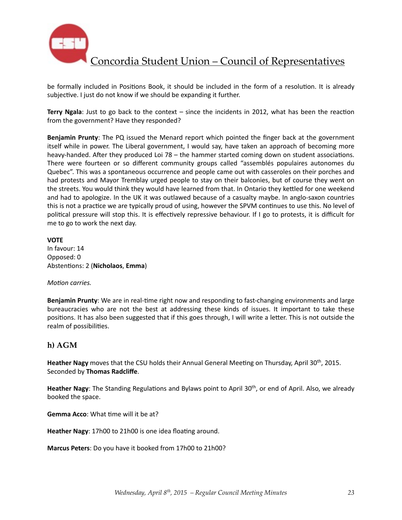

be formally included in Positions Book, it should be included in the form of a resolution. It is already subjective. I just do not know if we should be expanding it further.

**Terry Ngala**: Just to go back to the context  $-$  since the incidents in 2012, what has been the reaction from the government? Have they responded?

**Benjamin Prunty**: The PQ issued the Menard report which pointed the finger back at the government itself while in power. The Liberal government, I would say, have taken an approach of becoming more heavy-handed. After they produced Loi  $78 -$  the hammer started coming down on student associations. There were fourteen or so different community groups called "assemblés populaires autonomes du Quebec". This was a spontaneous occurrence and people came out with casseroles on their porches and had protests and Mayor Tremblay urged people to stay on their balconies, but of course they went on the streets. You would think they would have learned from that. In Ontario they kettled for one weekend and had to apologize. In the UK it was outlawed because of a casualty maybe. In anglo-saxon countries this is not a practice we are typically proud of using, however the SPVM continues to use this. No level of political pressure will stop this. It is effectively repressive behaviour. If I go to protests, it is difficult for me to go to work the next day.

#### **VOTE**

In favour: 14 Opposed: 0 Abstentions: 2 (Nicholaos, Emma)

#### *Motion carries.*

**Benjamin Prunty:** We are in real-time right now and responding to fast-changing environments and large bureaucracies who are not the best at addressing these kinds of issues. It important to take these positions. It has also been suggested that if this goes through, I will write a letter. This is not outside the realm of possibilities.

### **h) AGM**

Heather Nagy moves that the CSU holds their Annual General Meeting on Thursday, April 30<sup>th</sup>, 2015. Seconded by **Thomas Radcliffe**. 

**Heather Nagy**: The Standing Regulations and Bylaws point to April 30<sup>th</sup>, or end of April. Also, we already booked the space.

**Gemma Acco:** What time will it be at?

**Heather Nagy:** 17h00 to 21h00 is one idea floating around.

**Marcus Peters:** Do you have it booked from 17h00 to 21h00?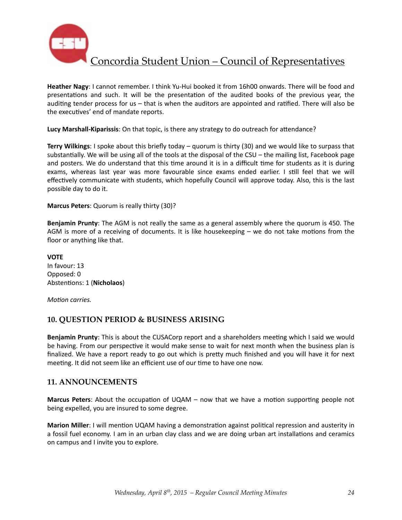

Heather Nagy: I cannot remember. I think Yu-Hui booked it from 16h00 onwards. There will be food and presentations and such. It will be the presentation of the audited books of the previous year, the auditing tender process for us – that is when the auditors are appointed and ratified. There will also be the executives' end of mandate reports.

Lucy Marshall-Kiparissis: On that topic, is there any strategy to do outreach for attendance?

**Terry Wilkings**: I spoke about this briefly today – quorum is thirty (30) and we would like to surpass that substantially. We will be using all of the tools at the disposal of the CSU – the mailing list, Facebook page and posters. We do understand that this time around it is in a difficult time for students as it is during exams, whereas last year was more favourable since exams ended earlier. I still feel that we will effectively communicate with students, which hopefully Council will approve today. Also, this is the last possible day to do it.

**Marcus Peters**: Quorum is really thirty (30)?

**Benjamin Prunty**: The AGM is not really the same as a general assembly where the quorum is 450. The AGM is more of a receiving of documents. It is like housekeeping  $-$  we do not take motions from the floor or anything like that.

**VOTE** In favour: 13 Opposed: 0 Abstentions: 1 (Nicholaos)

*Motion carries.* 

## **10. QUESTION PERIOD & BUSINESS ARISING**

**Benjamin Prunty**: This is about the CUSACorp report and a shareholders meeting which I said we would be having. From our perspective it would make sense to wait for next month when the business plan is finalized. We have a report ready to go out which is pretty much finished and you will have it for next meeting. It did not seem like an efficient use of our time to have one now.

## **11. ANNOUNCEMENTS**

**Marcus Peters**: About the occupation of UQAM – now that we have a motion supporting people not being expelled, you are insured to some degree.

**Marion Miller**: I will mention UQAM having a demonstration against political repression and austerity in a fossil fuel economy. I am in an urban clay class and we are doing urban art installations and ceramics on campus and I invite you to explore.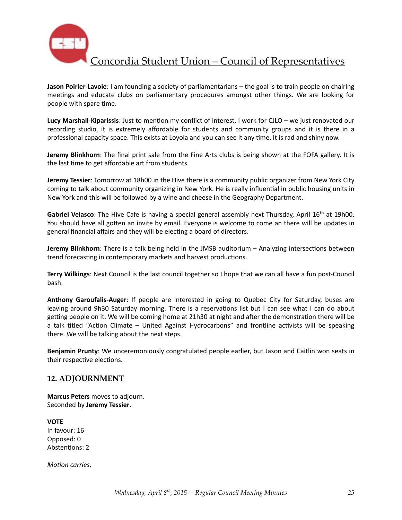

**Jason Poirier-Lavoie**: I am founding a society of parliamentarians – the goal is to train people on chairing meetings and educate clubs on parliamentary procedures amongst other things. We are looking for people with spare time.

**Lucy Marshall-Kiparissis:** Just to mention my conflict of interest, I work for CJLO – we just renovated our recording studio, it is extremely affordable for students and community groups and it is there in a professional capacity space. This exists at Loyola and you can see it any time. It is rad and shiny now.

**Jeremy Blinkhorn**: The final print sale from the Fine Arts clubs is being shown at the FOFA gallery. It is the last time to get affordable art from students.

**Jeremy Tessier**: Tomorrow at 18h00 in the Hive there is a community public organizer from New York City coming to talk about community organizing in New York. He is really influential in public housing units in New York and this will be followed by a wine and cheese in the Geography Department.

**Gabriel Velasco**: The Hive Cafe is having a special general assembly next Thursday, April 16<sup>th</sup> at 19h00. You should have all gotten an invite by email. Everyone is welcome to come an there will be updates in general financial affairs and they will be electing a board of directors.

**Jeremy Blinkhorn**: There is a talk being held in the JMSB auditorium - Analyzing intersections between trend forecasting in contemporary markets and harvest productions.

Terry Wilkings: Next Council is the last council together so I hope that we can all have a fun post-Council bash. 

**Anthony Garoufalis-Auger**: If people are interested in going to Quebec City for Saturday, buses are leaving around 9h30 Saturday morning. There is a reservations list but I can see what I can do about getting people on it. We will be coming home at 21h30 at night and after the demonstration there will be a talk titled "Action Climate – United Against Hydrocarbons" and frontline activists will be speaking there. We will be talking about the next steps.

**Benjamin Prunty**: We unceremoniously congratulated people earlier, but Jason and Caitlin won seats in their respective elections.

### **12. ADJOURNMENT**

**Marcus Peters** moves to adjourn. Seconded by **Jeremy Tessier**. 

**VOTE**  In favour: 16 Opposed: 0 Abstentions: 2

*Motion carries.*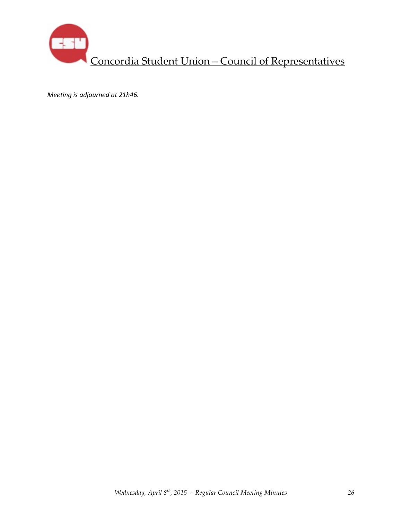

*Meeting is adjourned at 21h46.*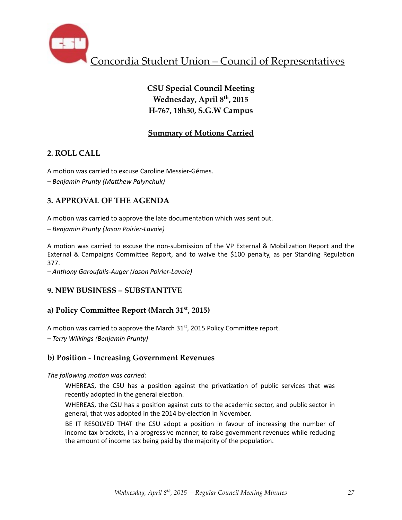

# **CSU Special Council Meeting Wednesday, April 8th, 2015 H-767, 18h30, S.G.W Campus**

## **Summary of Motions Carried**

## **2. ROLL CALL**

A motion was carried to excuse Caroline Messier-Gémes. *– Benjamin Prunty (MaThew Palynchuk)* 

## **3. APPROVAL OF THE AGENDA**

A motion was carried to approve the late documentation which was sent out.

*– Benjamin Prunty (Jason Poirier-Lavoie)* 

A motion was carried to excuse the non-submission of the VP External & Mobilization Report and the External & Campaigns Committee Report, and to waive the \$100 penalty, as per Standing Regulation 377. 

*– Anthony Garoufalis-Auger (Jason Poirier-Lavoie)* 

## **9. NEW BUSINESS – SUBSTANTIVE**

## a) Policy Committee Report (March 31<sup>st</sup>, 2015)

A motion was carried to approve the March  $31<sup>st</sup>$ , 2015 Policy Committee report.

*– Terry Wilkings (Benjamin Prunty)* 

## **b) Position - Increasing Government Revenues**

### The following motion was carried:

WHEREAS, the CSU has a position against the privatization of public services that was recently adopted in the general election.

WHEREAS, the CSU has a position against cuts to the academic sector, and public sector in general, that was adopted in the 2014 by-election in November.

BE IT RESOLVED THAT the CSU adopt a position in favour of increasing the number of income tax brackets, in a progressive manner, to raise government revenues while reducing the amount of income tax being paid by the majority of the population.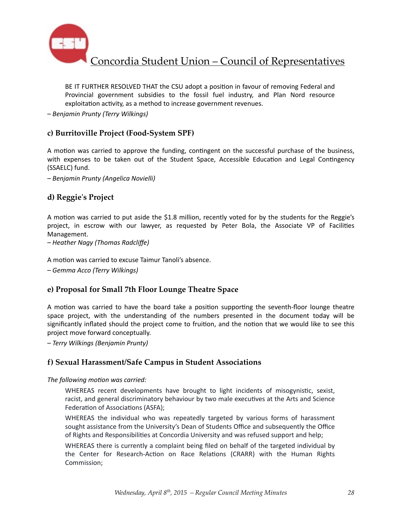

BE IT FURTHER RESOLVED THAT the CSU adopt a position in favour of removing Federal and Provincial government subsidies to the fossil fuel industry, and Plan Nord resource exploitation activity, as a method to increase government revenues.

*– Benjamin Prunty (Terry Wilkings)* 

### **c) Burritoville Project (Food-System SPF)**

A motion was carried to approve the funding, contingent on the successful purchase of the business, with expenses to be taken out of the Student Space, Accessible Education and Legal Contingency (SSAELC) fund.

*– Benjamin Prunty (Angelica Novielli)* 

### **d) Reggie's Project**

A motion was carried to put aside the \$1.8 million, recently voted for by the students for the Reggie's project, in escrow with our lawyer, as requested by Peter Bola, the Associate VP of Facilities Management. 

 $-$  Heather Nagy (Thomas Radcliffe)

A motion was carried to excuse Taimur Tanoli's absence.

*– Gemma Acco (Terry Wilkings)* 

### **e) Proposal for Small 7th Floor Lounge Theatre Space**

A motion was carried to have the board take a position supporting the seventh-floor lounge theatre space project, with the understanding of the numbers presented in the document today will be significantly inflated should the project come to fruition, and the notion that we would like to see this project move forward conceptually.

*– Terry Wilkings (Benjamin Prunty)* 

### **f) Sexual Harassment/Safe Campus in Student Associations**

#### The following motion was carried:

WHEREAS recent developments have brought to light incidents of misogynistic, sexist, racist, and general discriminatory behaviour by two male executives at the Arts and Science Federation of Associations (ASFA);

WHEREAS the individual who was repeatedly targeted by various forms of harassment sought assistance from the University's Dean of Students Office and subsequently the Office of Rights and Responsibilities at Concordia University and was refused support and help;

WHEREAS there is currently a complaint being filed on behalf of the targeted individual by the Center for Research-Action on Race Relations (CRARR) with the Human Rights Commission;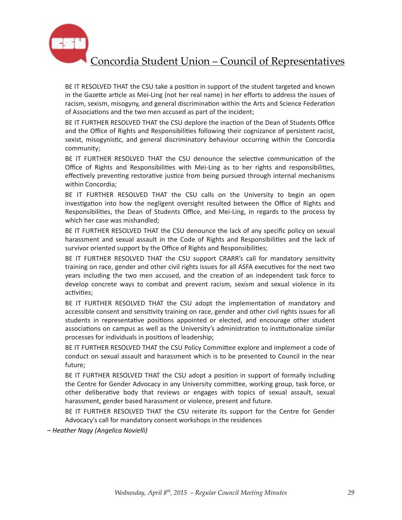

BE IT RESOLVED THAT the CSU take a position in support of the student targeted and known in the Gazette article as Mei-Ling (not her real name) in her efforts to address the issues of racism, sexism, misogyny, and general discrimination within the Arts and Science Federation of Associations and the two men accused as part of the incident;

BE IT FURTHER RESOLVED THAT the CSU deplore the inaction of the Dean of Students Office and the Office of Rights and Responsibilities following their cognizance of persistent racist, sexist, misogynistic, and general discriminatory behaviour occurring within the Concordia community;

BE IT FURTHER RESOLVED THAT the CSU denounce the selective communication of the Office of Rights and Responsibilities with Mei-Ling as to her rights and responsibilities, effectively preventing restorative justice from being pursued through internal mechanisms within Concordia;

BE IT FURTHER RESOLVED THAT the CSU calls on the University to begin an open investigation into how the negligent oversight resulted between the Office of Rights and Responsibilities, the Dean of Students Office, and Mei-Ling, in regards to the process by which her case was mishandled:

BE IT FURTHER RESOLVED THAT the CSU denounce the lack of any specific policy on sexual harassment and sexual assault in the Code of Rights and Responsibilities and the lack of survivor oriented support by the Office of Rights and Responsibilities;

BE IT FURTHER RESOLVED THAT the CSU support CRARR's call for mandatory sensitivity training on race, gender and other civil rights issues for all ASFA executives for the next two years including the two men accused, and the creation of an independent task force to develop concrete ways to combat and prevent racism, sexism and sexual violence in its activities;

BE IT FURTHER RESOLVED THAT the CSU adopt the implementation of mandatory and accessible consent and sensitivity training on race, gender and other civil rights issues for all students in representative positions appointed or elected, and encourage other student associations on campus as well as the University's administration to institutionalize similar processes for individuals in positions of leadership;

BE IT FURTHER RESOLVED THAT the CSU Policy Committee explore and implement a code of conduct on sexual assault and harassment which is to be presented to Council in the near future;

BE IT FURTHER RESOLVED THAT the CSU adopt a position in support of formally including the Centre for Gender Advocacy in any University committee, working group, task force, or other deliberative body that reviews or engages with topics of sexual assault, sexual harassment, gender based harassment or violence, present and future.

BE IT FURTHER RESOLVED THAT the CSU reiterate its support for the Centre for Gender Advocacy's call for mandatory consent workshops in the residences

*– Heather Nagy (Angelica Novielli)*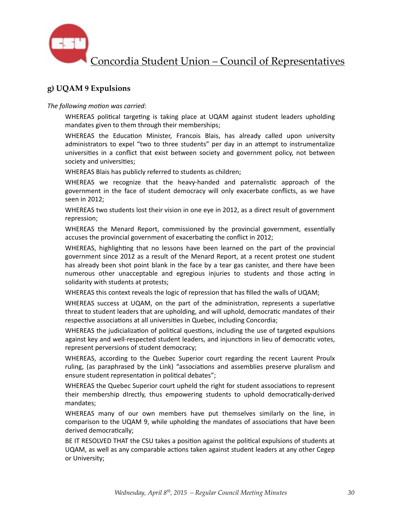

## **g) UQAM 9 Expulsions**

The following motion was carried:

WHEREAS political targeting is taking place at UQAM against student leaders upholding mandates given to them through their memberships;

WHEREAS the Education Minister, Francois Blais, has already called upon university administrators to expel "two to three students" per day in an attempt to instrumentalize universities in a conflict that exist between society and government policy, not between society and universities;

WHEREAS Blais has publicly referred to students as children;

WHEREAS we recognize that the heavy-handed and paternalistic approach of the government in the face of student democracy will only exacerbate conflicts, as we have seen in 2012;

WHEREAS two students lost their vision in one eye in 2012, as a direct result of government repression;

WHEREAS the Menard Report, commissioned by the provincial government, essentially accuses the provincial government of exacerbating the conflict in 2012;

WHEREAS, highlighting that no lessons have been learned on the part of the provincial government since 2012 as a result of the Menard Report, at a recent protest one student has already been shot point blank in the face by a tear gas canister, and there have been numerous other unacceptable and egregious injuries to students and those acting in solidarity with students at protests;

WHEREAS this context reveals the logic of repression that has filled the walls of UQAM;

WHEREAS success at UQAM, on the part of the administration, represents a superlative threat to student leaders that are upholding, and will uphold, democratic mandates of their respective associations at all universities in Quebec, including Concordia;

WHEREAS the judicialization of political questions, including the use of targeted expulsions against key and well-respected student leaders, and injunctions in lieu of democratic votes, represent perversions of student democracy;

WHEREAS, according to the Quebec Superior court regarding the recent Laurent Proulx ruling, (as paraphrased by the Link) "associations and assemblies preserve pluralism and ensure student representation in political debates";

WHEREAS the Quebec Superior court upheld the right for student associations to represent their membership directly, thus empowering students to uphold democratically-derived mandates;

WHEREAS many of our own members have put themselves similarly on the line, in comparison to the UQAM 9, while upholding the mandates of associations that have been derived democratically;

BE IT RESOLVED THAT the CSU takes a position against the political expulsions of students at UQAM, as well as any comparable actions taken against student leaders at any other Cegep or University;